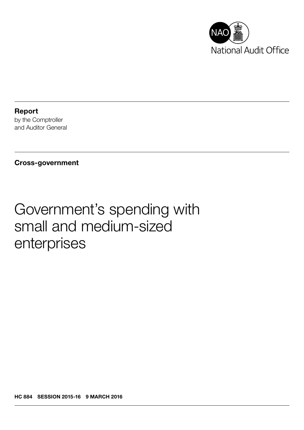

Report by the Comptroller and Auditor General

## Cross-government

# Government's spending with small and medium-sized enterprises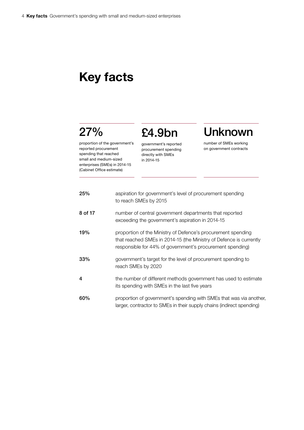## Key facts

## 27%

proportion of the government's reported procurement spending that reached small and medium-sized enterprises (SMEs) in 2014-15 (Cabinet Office estimate)

£4.9bn government's reported procurement spending directly with SMEs

in 2014-15

## Unknown

number of SMEs working on government contracts

| 25%     | aspiration for government's level of procurement spending<br>to reach SMEs by 2015                                                                                                              |
|---------|-------------------------------------------------------------------------------------------------------------------------------------------------------------------------------------------------|
| 8 of 17 | number of central government departments that reported<br>exceeding the government's aspiration in 2014-15                                                                                      |
| 19%     | proportion of the Ministry of Defence's procurement spending<br>that reached SMEs in 2014-15 (the Ministry of Defence is currently<br>responsible for 44% of government's procurement spending) |
| 33%     | government's target for the level of procurement spending to<br>reach SMEs by 2020                                                                                                              |
| 4       | the number of different methods government has used to estimate<br>its spending with SMEs in the last five years                                                                                |
| 60%     | proportion of government's spending with SMEs that was via another,<br>larger, contractor to SMEs in their supply chains (indirect spending)                                                    |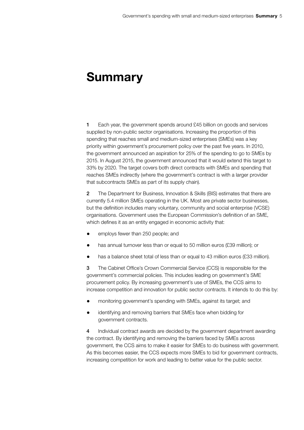## **Summary**

1 Each year, the government spends around £45 billion on goods and services supplied by non-public sector organisations. Increasing the proportion of this spending that reaches small and medium-sized enterprises (SMEs) was a key priority within government's procurement policy over the past five years. In 2010, the government announced an aspiration for 25% of the spending to go to SMEs by 2015. In August 2015, the government announced that it would extend this target to 33% by 2020. The target covers both direct contracts with SMEs and spending that reaches SMEs indirectly (where the government's contract is with a larger provider that subcontracts SMEs as part of its supply chain).

2 The Department for Business, Innovation & Skills (BIS) estimates that there are currently 5.4 million SMEs operating in the UK. Most are private sector businesses, but the definition includes many voluntary, community and social enterprise (VCSE) organisations. Government uses the European Commission's definition of an SME, which defines it as an entity engaged in economic activity that:

- employs fewer than 250 people; and
- has annual turnover less than or equal to 50 million euros (£39 million); or
- has a balance sheet total of less than or equal to 43 million euros (£33 million).

3 The Cabinet Office's Crown Commercial Service (CCS) is responsible for the government's commercial policies. This includes leading on government's SME procurement policy. By increasing government's use of SMEs, the CCS aims to increase competition and innovation for public sector contracts. It intends to do this by:

- monitoring government's spending with SMEs, against its target; and
- identifying and removing barriers that SMEs face when bidding for government contracts.

4 Individual contract awards are decided by the government department awarding the contract. By identifying and removing the barriers faced by SMEs across government, the CCS aims to make it easier for SMEs to do business with government. As this becomes easier, the CCS expects more SMEs to bid for government contracts, increasing competition for work and leading to better value for the public sector.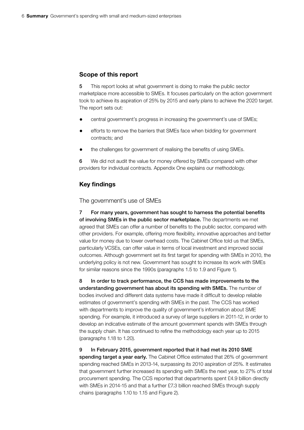## Scope of this report

5 This report looks at what government is doing to make the public sector marketplace more accessible to SMEs. It focuses particularly on the action government took to achieve its aspiration of 25% by 2015 and early plans to achieve the 2020 target. The report sets out:

- central government's progress in increasing the government's use of SMEs;
- efforts to remove the barriers that SMEs face when bidding for government contracts; and
- the challenges for government of realising the benefits of using SMEs.

6 We did not audit the value for money offered by SMEs compared with other providers for individual contracts. Appendix One explains our methodology.

### Key findings

The government's use of SMEs

7 For many years, government has sought to harness the potential benefits of involving SMEs in the public sector marketplace. The departments we met agreed that SMEs can offer a number of benefits to the public sector, compared with other providers. For example, offering more flexibility, innovative approaches and better value for money due to lower overhead costs. The Cabinet Office told us that SMEs, particularly VCSEs, can offer value in terms of local investment and improved social outcomes. Although government set its first target for spending with SMEs in 2010, the underlying policy is not new. Government has sought to increase its work with SMEs for similar reasons since the 1990s (paragraphs 1.5 to 1.9 and Figure 1).

8 In order to track performance, the CCS has made improvements to the understanding government has about its spending with SMEs. The number of bodies involved and different data systems have made it difficult to develop reliable estimates of government's spending with SMEs in the past. The CCS has worked with departments to improve the quality of government's information about SME spending. For example, it introduced a survey of large suppliers in 2011-12, in order to develop an indicative estimate of the amount government spends with SMEs through the supply chain. It has continued to refine the methodology each year up to 2015 (paragraphs 1.18 to 1.20).

9 In February 2015, government reported that it had met its 2010 SME spending target a year early. The Cabinet Office estimated that 26% of government spending reached SMEs in 2013-14, surpassing its 2010 aspiration of 25%. It estimates that government further increased its spending with SMEs the next year, to 27% of total procurement spending. The CCS reported that departments spent £4.9 billion directly with SMEs in 2014-15 and that a further £7.3 billion reached SMEs through supply chains (paragraphs 1.10 to 1.15 and Figure 2).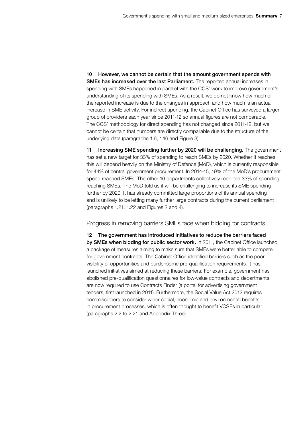10 However, we cannot be certain that the amount government spends with SMEs has increased over the last Parliament. The reported annual increases in spending with SMEs happened in parallel with the CCS' work to improve government's understanding of its spending with SMEs. As a result, we do not know how much of the reported increase is due to the changes in approach and how much is an actual increase in SME activity. For indirect spending, the Cabinet Office has surveyed a larger group of providers each year since 2011-12 so annual figures are not comparable. The CCS' methodology for direct spending has not changed since 2011-12, but we cannot be certain that numbers are directly comparable due to the structure of the underlying data (paragraphs 1.6, 1.16 and Figure 3).

11 Increasing SME spending further by 2020 will be challenging. The government has set a new target for 33% of spending to reach SMEs by 2020. Whether it reaches this will depend heavily on the Ministry of Defence (MoD), which is currently responsible for 44% of central government procurement. In 2014-15, 19% of the MoD's procurement spend reached SMEs. The other 16 departments collectively reported 33% of spending reaching SMEs. The MoD told us it will be challenging to increase its SME spending further by 2020. It has already committed large proportions of its annual spending and is unlikely to be letting many further large contracts during the current parliament (paragraphs 1.21, 1.22 and Figures 2 and 4).

Progress in removing barriers SMEs face when bidding for contracts

12 The government has introduced initiatives to reduce the barriers faced by SMEs when bidding for public sector work. In 2011, the Cabinet Office launched a package of measures aiming to make sure that SMEs were better able to compete for government contracts. The Cabinet Office identified barriers such as the poor visibility of opportunities and burdensome pre-qualification requirements. It has launched initiatives aimed at reducing these barriers. For example, government has abolished pre-qualification questionnaires for low-value contracts and departments are now required to use Contracts Finder (a portal for advertising government tenders, first launched in 2011). Furthermore, the Social Value Act 2012 requires commissioners to consider wider social, economic and environmental benefits in procurement processes, which is often thought to benefit VCSEs in particular (paragraphs 2.2 to 2.21 and Appendix Three).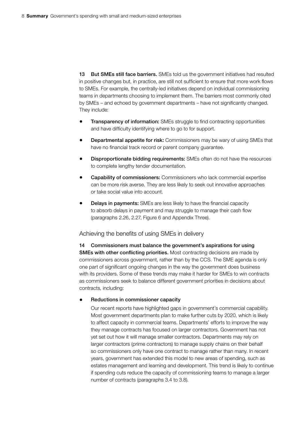13 But SMEs still face barriers. SMEs told us the government initiatives had resulted in positive changes but, in practice, are still not sufficient to ensure that more work flows to SMEs. For example, the centrally-led initiatives depend on individual commissioning teams in departments choosing to implement them. The barriers most commonly cited by SMEs – and echoed by government departments – have not significantly changed. They include:

- **Transparency of information:** SMEs struggle to find contracting opportunities and have difficulty identifying where to go to for support.
- **Departmental appetite for risk:** Commissioners may be wary of using SMEs that have no financial track record or parent company guarantee.
- Disproportionate bidding requirements: SMEs often do not have the resources to complete lengthy tender documentation.
- Capability of commissioners: Commissioners who lack commercial expertise can be more risk averse. They are less likely to seek out innovative approaches or take social value into account.
- **Delays in payments:** SMEs are less likely to have the financial capacity to absorb delays in payment and may struggle to manage their cash flow (paragraphs 2.26, 2.27, Figure 6 and Appendix Three).

#### Achieving the benefits of using SMEs in delivery

14 Commissioners must balance the government's aspirations for using SMEs with other conflicting priorities. Most contracting decisions are made by commissioners across government, rather than by the CCS. The SME agenda is only one part of significant ongoing changes in the way the government does business with its providers. Some of these trends may make it harder for SMEs to win contracts as commissioners seek to balance different government priorities in decisions about contracts, including:

#### Reductions in commissioner capacity

Our recent reports have highlighted gaps in government's commercial capability. Most government departments plan to make further cuts by 2020, which is likely to affect capacity in commercial teams. Departments' efforts to improve the way they manage contracts has focused on larger contractors. Government has not yet set out how it will manage smaller contractors. Departments may rely on larger contractors (prime contractors) to manage supply chains on their behalf so commissioners only have one contract to manage rather than many. In recent years, government has extended this model to new areas of spending, such as estates management and learning and development. This trend is likely to continue if spending cuts reduce the capacity of commissioning teams to manage a larger number of contracts (paragraphs 3.4 to 3.8).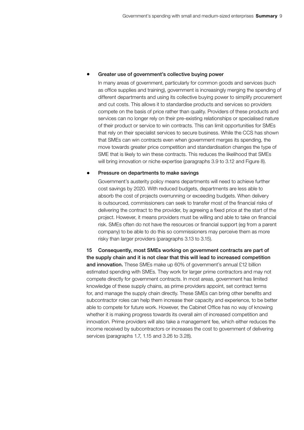#### • Greater use of government's collective buying power

In many areas of government, particularly for common goods and services (such as office supplies and training), government is increasingly merging the spending of different departments and using its collective buying power to simplify procurement and cut costs. This allows it to standardise products and services so providers compete on the basis of price rather than quality. Providers of these products and services can no longer rely on their pre-existing relationships or specialised nature of their product or service to win contracts. This can limit opportunities for SMEs that rely on their specialist services to secure business. While the CCS has shown that SMEs can win contracts even when government merges its spending, the move towards greater price competition and standardisation changes the type of SME that is likely to win these contracts. This reduces the likelihood that SMEs will bring innovation or niche expertise (paragraphs 3.9 to 3.12 and Figure 8).

#### • Pressure on departments to make savings

Government's austerity policy means departments will need to achieve further cost savings by 2020. With reduced budgets, departments are less able to absorb the cost of projects overrunning or exceeding budgets. When delivery is outsourced, commissioners can seek to transfer most of the financial risks of delivering the contract to the provider, by agreeing a fixed price at the start of the project. However, it means providers must be willing and able to take on financial risk. SMEs often do not have the resources or financial support (eg from a parent company) to be able to do this so commissioners may perceive them as more risky than larger providers (paragraphs 3.13 to 3.15).

15 Consequently, most SMEs working on government contracts are part of the supply chain and it is not clear that this will lead to increased competition and innovation. These SMEs make up 60% of government's annual £12 billion estimated spending with SMEs. They work for larger prime contractors and may not compete directly for government contracts. In most areas, government has limited knowledge of these supply chains, as prime providers appoint, set contract terms for, and manage the supply chain directly. These SMEs can bring other benefits and subcontractor roles can help them increase their capacity and experience, to be better able to compete for future work. However, the Cabinet Office has no way of knowing whether it is making progress towards its overall aim of increased competition and innovation. Prime providers will also take a management fee, which either reduces the income received by subcontractors or increases the cost to government of delivering services (paragraphs 1.7, 1.15 and 3.26 to 3.28).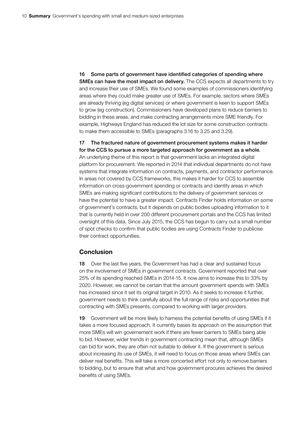16 Some parts of government have identified categories of spending where SMEs can have the most impact on delivery. The CCS expects all departments to try and increase their use of SMEs. We found some examples of commissioners identifying areas where they could make greater use of SMEs. For example, sectors where SMEs are already thriving (eg digital services) or where government is keen to support SMEs to grow (eg construction). Commissioners have developed plans to reduce barriers to bidding in these areas, and make contracting arrangements more SME friendly. For example, Highways England has reduced the lot size for some construction contracts to make them accessible to SMEs (paragraphs 3.16 to 3.25 and 3.29).

17 The fractured nature of government procurement systems makes it harder for the CCS to pursue a more targeted approach for government as a whole. An underlying theme of this report is that government lacks an integrated digital platform for procurement. We reported in 2014 that individual departments do not have systems that integrate information on contracts, payments, and contractor performance. In areas not covered by CCS frameworks, this makes it harder for CCS to assemble information on cross-government spending or contracts and identify areas in which SMEs are making significant contributions to the delivery of government services or have the potential to have a greater impact. Contracts Finder holds information on some of government's contracts, but it depends on public bodies uploading information to it that is currently held in over 200 different procurement portals and the CCS has limited oversight of this data. Since July 2015, the CCS has begun to carry out a small number of spot checks to confirm that public bodies are using Contracts Finder to publicise their contract opportunities.

### Conclusion

18 Over the last five years, the Government has had a clear and sustained focus on the involvement of SMEs in government contracts. Government reported that over 25% of its spending reached SMEs in 2014-15. It now aims to increase this to 33% by 2020. However, we cannot be certain that the amount government spends with SMEs has increased since it set its original target in 2010. As it seeks to increase it further, government needs to think carefully about the full range of risks and opportunities that contracting with SMEs presents, compared to working with larger providers.

19 Government will be more likely to harness the potential benefits of using SMEs if it takes a more focused approach. It currently bases its approach on the assumption that more SMEs will win governement work if there are fewer barriers to SMEs being able to bid. However, wider trends in government contracting mean that, although SMEs can bid for work, they are often not suitable to deliver it. If the government is serious about increasing its use of SMEs, it will need to focus on those areas where SMEs can deliver real benefits. This will take a more concerted effort not only to remove barriers to bidding, but to ensure that what and how government procures achieves the desired benefits of using SMEs.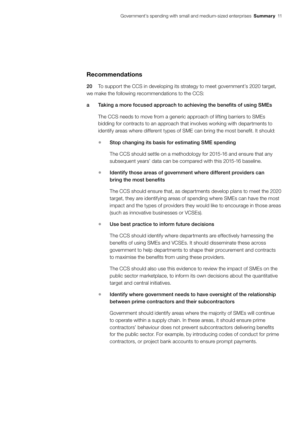## Recommendations

20 To support the CCS in developing its strategy to meet government's 2020 target, we make the following recommendations to the CCS:

### a Taking a more focused approach to achieving the benefits of using SMEs

The CCS needs to move from a generic approach of lifting barriers to SMEs bidding for contracts to an approach that involves working with departments to identify areas where different types of SME can bring the most benefit. It should:

## • Stop changing its basis for estimating SME spending

The CCS should settle on a methodology for 2015-16 and ensure that any subsequent years' data can be compared with this 2015-16 baseline.

## • Identify those areas of government where different providers can bring the most benefits

The CCS should ensure that, as departments develop plans to meet the 2020 target, they are identifying areas of spending where SMEs can have the most impact and the types of providers they would like to encourage in those areas (such as innovative businesses or VCSEs).

## • Use best practice to inform future decisions

The CCS should identify where departments are effectively harnessing the benefits of using SMEs and VCSEs. It should disseminate these across government to help departments to shape their procurement and contracts to maximise the benefits from using these providers.

The CCS should also use this evidence to review the impact of SMEs on the public sector marketplace, to inform its own decisions about the quantitative target and central initiatives.

## • Identify where government needs to have oversight of the relationship between prime contractors and their subcontractors

Government should identify areas where the majority of SMEs will continue to operate within a supply chain. In these areas, it should ensure prime contractors' behaviour does not prevent subcontractors delivering benefits for the public sector. For example, by introducing codes of conduct for prime contractors, or project bank accounts to ensure prompt payments.